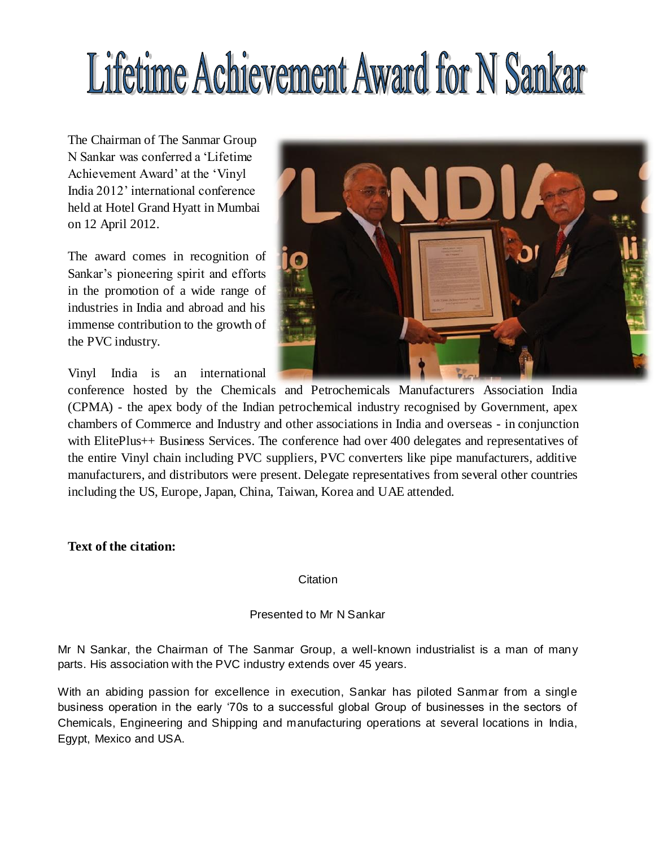# Lifetime Achievement Award for N Sankar

The Chairman of The Sanmar Group N Sankar was conferred a 'Lifetime Achievement Award' at the 'Vinyl India 2012' international conference held at Hotel Grand Hyatt in Mumbai on 12 April 2012.

The award comes in recognition of Sankar's pioneering spirit and efforts in the promotion of a wide range of industries in India and abroad and his immense contribution to the growth of the PVC industry.



Vinyl India is an international

conference hosted by the Chemicals and Petrochemicals Manufacturers Association India (CPMA) - the apex body of the Indian petrochemical industry recognised by Government, apex chambers of Commerce and Industry and other associations in India and overseas - in conjunction with ElitePlus++ Business Services. The conference had over 400 delegates and representatives of the entire Vinyl chain including PVC suppliers, PVC converters like pipe manufacturers, additive manufacturers, and distributors were present. Delegate representatives from several other countries including the US, Europe, Japan, China, Taiwan, Korea and UAE attended.

**Text of the citation:** 

Citation

## Presented to Mr N Sankar

Mr N Sankar, the Chairman of The Sanmar Group, a well-known industrialist is a man of many parts. His association with the PVC industry extends over 45 years.

With an abiding passion for excellence in execution, Sankar has piloted Sanmar from a single business operation in the early '70s to a successful global Group of businesses in the sectors of Chemicals, Engineering and Shipping and manufacturing operations at several locations in India, Egypt, Mexico and USA.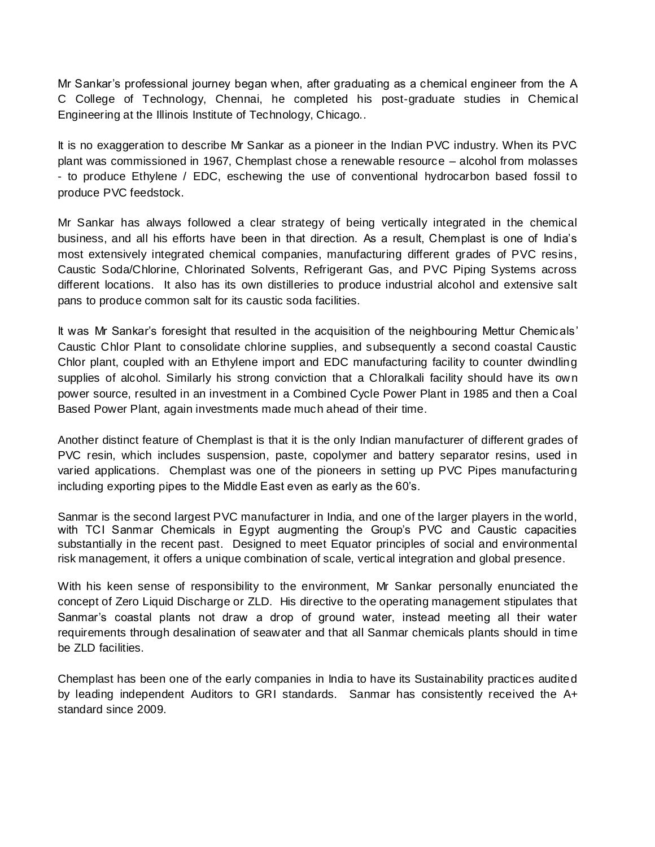Mr Sankar's professional journey began when, after graduating as a chemical engineer from the A C College of Technology, Chennai, he completed his post-graduate studies in Chemical Engineering at the Illinois Institute of Technology, Chicago..

It is no exaggeration to describe Mr Sankar as a pioneer in the Indian PVC industry. When its PVC plant was commissioned in 1967, Chemplast chose a renewable resource – alcohol from molasses - to produce Ethylene / EDC, eschewing the use of conventional hydrocarbon based fossil to produce PVC feedstock.

Mr Sankar has always followed a clear strategy of being vertically integrated in the chemical business, and all his efforts have been in that direction. As a result, Chemplast is one of India's most extensively integrated chemical companies, manufacturing different grades of PVC resins, Caustic Soda/Chlorine, Chlorinated Solvents, Refrigerant Gas, and PVC Piping Systems across different locations. It also has its own distilleries to produce industrial alcohol and extensive salt pans to produce common salt for its caustic soda facilities.

It was Mr Sankar's foresight that resulted in the acquisition of the neighbouring Mettur Chemicals' Caustic Chlor Plant to consolidate chlorine supplies, and subsequently a second coastal Caustic Chlor plant, coupled with an Ethylene import and EDC manufacturing facility to counter dwindling supplies of alcohol. Similarly his strong conviction that a Chloralkali facility should have its own power source, resulted in an investment in a Combined Cycle Power Plant in 1985 and then a Coal Based Power Plant, again investments made much ahead of their time.

Another distinct feature of Chemplast is that it is the only Indian manufacturer of different grades of PVC resin, which includes suspension, paste, copolymer and battery separator resins, used in varied applications. Chemplast was one of the pioneers in setting up PVC Pipes manufacturing including exporting pipes to the Middle East even as early as the 60's.

Sanmar is the second largest PVC manufacturer in India, and one of the larger players in the world, with TCI Sanmar Chemicals in Egypt augmenting the Group's PVC and Caustic capacities substantially in the recent past. Designed to meet Equator principles of social and environmental risk management, it offers a unique combination of scale, vertical integration and global presence.

With his keen sense of responsibility to the environment, Mr Sankar personally enunciated the concept of Zero Liquid Discharge or ZLD. His directive to the operating management stipulates that Sanmar's coastal plants not draw a drop of ground water, instead meeting all their water requirements through desalination of seawater and that all Sanmar chemicals plants should in time be ZLD facilities.

Chemplast has been one of the early companies in India to have its Sustainability practices audited by leading independent Auditors to GRI standards. Sanmar has consistently received the A+ standard since 2009.